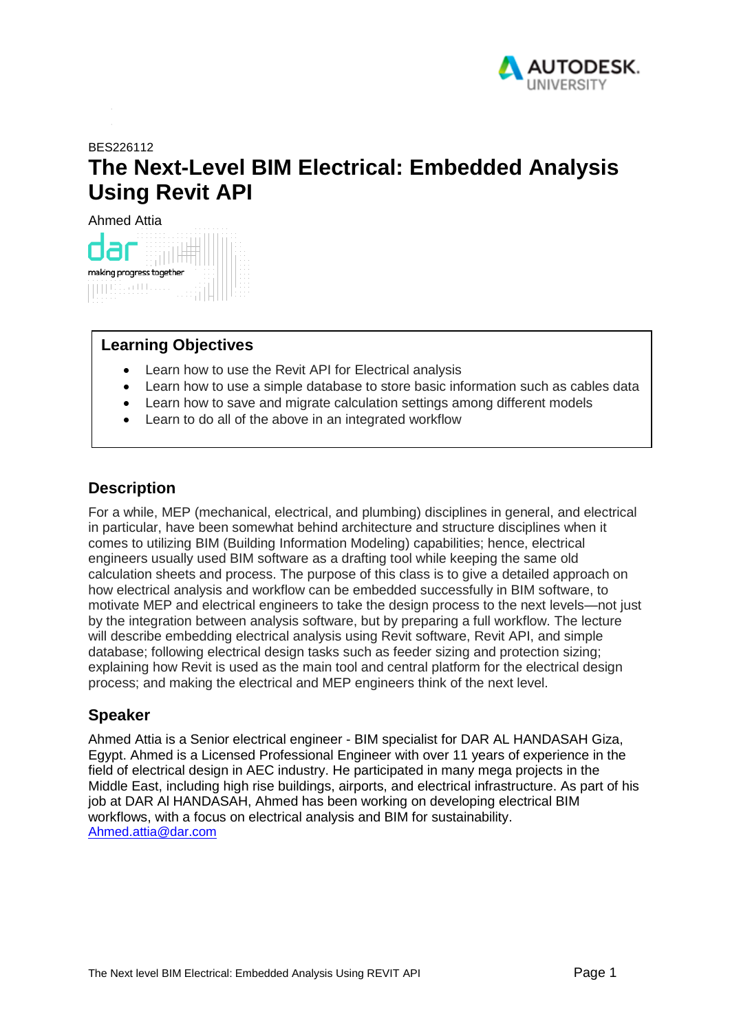

# <span id="page-0-0"></span>BES226112 **The Next-Level BIM Electrical: Embedded Analysis Using Revit API**

Ahmed Attia



### **Learning Objectives**

- Learn how to use the Revit API for Electrical analysis
- Learn how to use a simple database to store basic information such as cables data
- Learn how to save and migrate calculation settings among different models
- Learn to do all of the above in an integrated workflow

# <span id="page-0-1"></span>**Description**

For a while, MEP (mechanical, electrical, and plumbing) disciplines in general, and electrical in particular, have been somewhat behind architecture and structure disciplines when it comes to utilizing BIM (Building Information Modeling) capabilities; hence, electrical engineers usually used BIM software as a drafting tool while keeping the same old calculation sheets and process. The purpose of this class is to give a detailed approach on how electrical analysis and workflow can be embedded successfully in BIM software, to motivate MEP and electrical engineers to take the design process to the next levels—not just by the integration between analysis software, but by preparing a full workflow. The lecture will describe embedding electrical analysis using Revit software, Revit API, and simple database; following electrical design tasks such as feeder sizing and protection sizing; explaining how Revit is used as the main tool and central platform for the electrical design process; and making the electrical and MEP engineers think of the next level.

# <span id="page-0-2"></span>**Speaker**

Ahmed Attia is a Senior electrical engineer - BIM specialist for DAR AL HANDASAH Giza, Egypt. Ahmed is a Licensed Professional Engineer with over 11 years of experience in the field of electrical design in AEC industry. He participated in many mega projects in the Middle East, including high rise buildings, airports, and electrical infrastructure. As part of his job at DAR Al HANDASAH, Ahmed has been working on developing electrical BIM workflows, with a focus on electrical analysis and BIM for sustainability. [Ahmed.attia@dar.com](file:///C:/Users/ahattia/Desktop/AU%202018%20mind%20maps/Ahmed.attia@dar.com)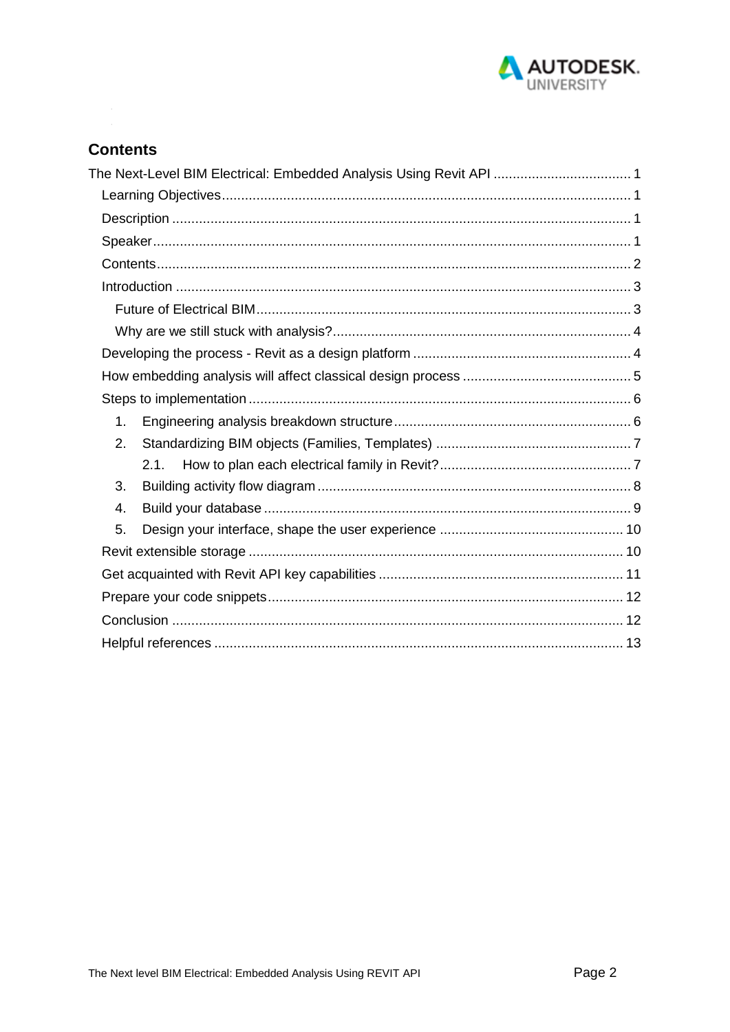

# <span id="page-1-0"></span>**Contents**

| The Next-Level BIM Electrical: Embedded Analysis Using Revit API  1 |  |
|---------------------------------------------------------------------|--|
|                                                                     |  |
|                                                                     |  |
|                                                                     |  |
|                                                                     |  |
|                                                                     |  |
|                                                                     |  |
|                                                                     |  |
|                                                                     |  |
|                                                                     |  |
|                                                                     |  |
| 1 <sub>1</sub>                                                      |  |
| 2.                                                                  |  |
| 2.1.                                                                |  |
| 3.                                                                  |  |
| 4.                                                                  |  |
| 5.                                                                  |  |
|                                                                     |  |
|                                                                     |  |
|                                                                     |  |
|                                                                     |  |
|                                                                     |  |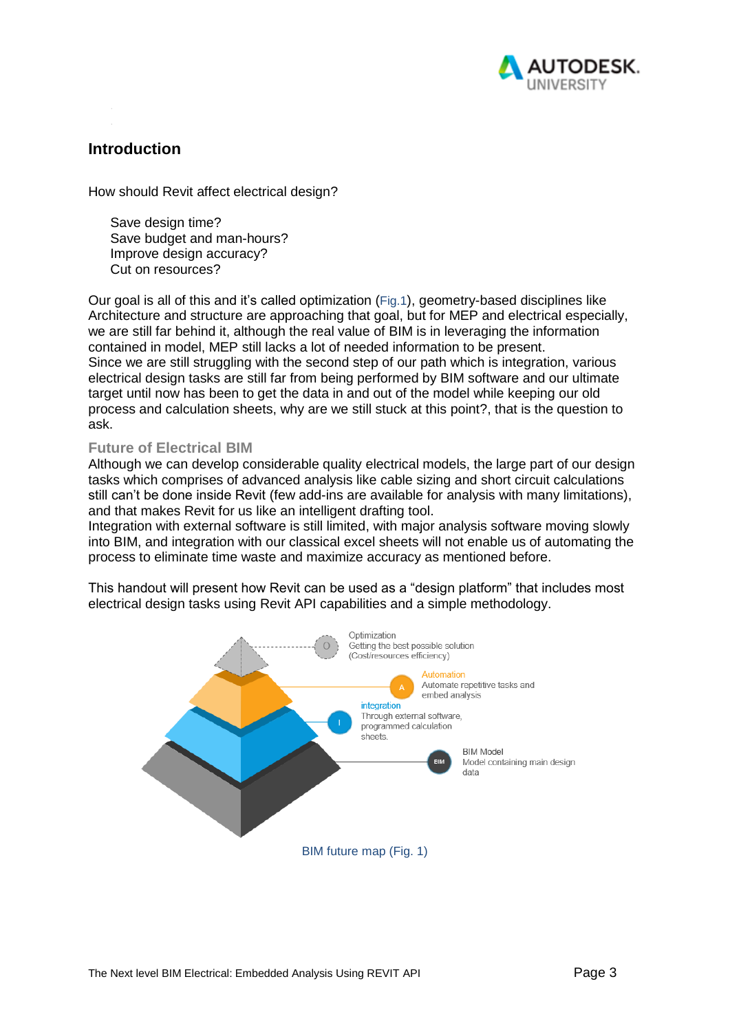

### <span id="page-2-0"></span>**Introduction**

How should Revit affect electrical design?

Save design time? Save budget and man-hours? Improve design accuracy? Cut on resources?

Our goal is all of this and it's called optimization (Fig.1), geometry-based disciplines like Architecture and structure are approaching that goal, but for MEP and electrical especially, we are still far behind it, although the real value of BIM is in leveraging the information contained in model, MEP still lacks a lot of needed information to be present. Since we are still struggling with the second step of our path which is integration, various electrical design tasks are still far from being performed by BIM software and our ultimate target until now has been to get the data in and out of the model while keeping our old process and calculation sheets, why are we still stuck at this point?, that is the question to ask.

### <span id="page-2-1"></span>**Future of Electrical BIM**

Although we can develop considerable quality electrical models, the large part of our design tasks which comprises of advanced analysis like cable sizing and short circuit calculations still can't be done inside Revit (few add-ins are available for analysis with many limitations), and that makes Revit for us like an intelligent drafting tool.

Integration with external software is still limited, with major analysis software moving slowly into BIM, and integration with our classical excel sheets will not enable us of automating the process to eliminate time waste and maximize accuracy as mentioned before.

This handout will present how Revit can be used as a "design platform" that includes most electrical design tasks using Revit API capabilities and a simple methodology.

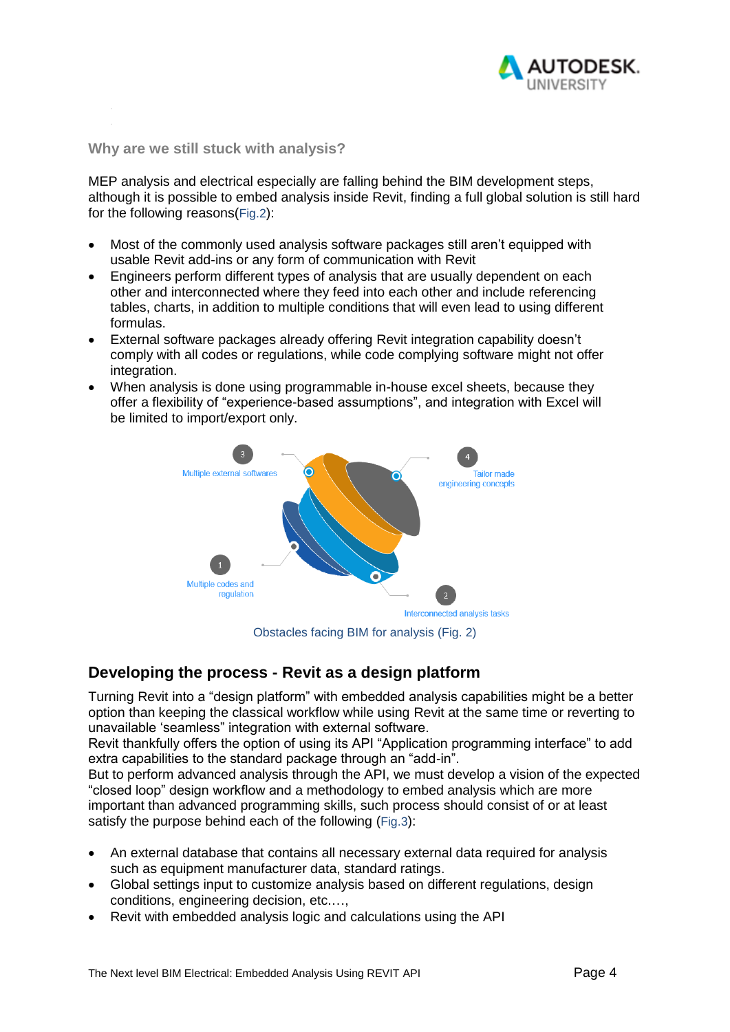

<span id="page-3-0"></span>**Why are we still stuck with analysis?** 

MEP analysis and electrical especially are falling behind the BIM development steps, although it is possible to embed analysis inside Revit, finding a full global solution is still hard for the following reasons(Fig.2):

- Most of the commonly used analysis software packages still aren't equipped with usable Revit add-ins or any form of communication with Revit
- Engineers perform different types of analysis that are usually dependent on each other and interconnected where they feed into each other and include referencing tables, charts, in addition to multiple conditions that will even lead to using different formulas.
- External software packages already offering Revit integration capability doesn't comply with all codes or regulations, while code complying software might not offer integration.
- When analysis is done using programmable in-house excel sheets, because they offer a flexibility of "experience-based assumptions", and integration with Excel will be limited to import/export only.



Obstacles facing BIM for analysis (Fig. 2)

## <span id="page-3-1"></span>**Developing the process - Revit as a design platform**

Turning Revit into a "design platform" with embedded analysis capabilities might be a better option than keeping the classical workflow while using Revit at the same time or reverting to unavailable 'seamless" integration with external software.

Revit thankfully offers the option of using its API "Application programming interface" to add extra capabilities to the standard package through an "add-in".

But to perform advanced analysis through the API, we must develop a vision of the expected "closed loop" design workflow and a methodology to embed analysis which are more important than advanced programming skills, such process should consist of or at least satisfy the purpose behind each of the following (Fig.3):

- An external database that contains all necessary external data required for analysis such as equipment manufacturer data, standard ratings.
- Global settings input to customize analysis based on different regulations, design conditions, engineering decision, etc.…,
- Revit with embedded analysis logic and calculations using the API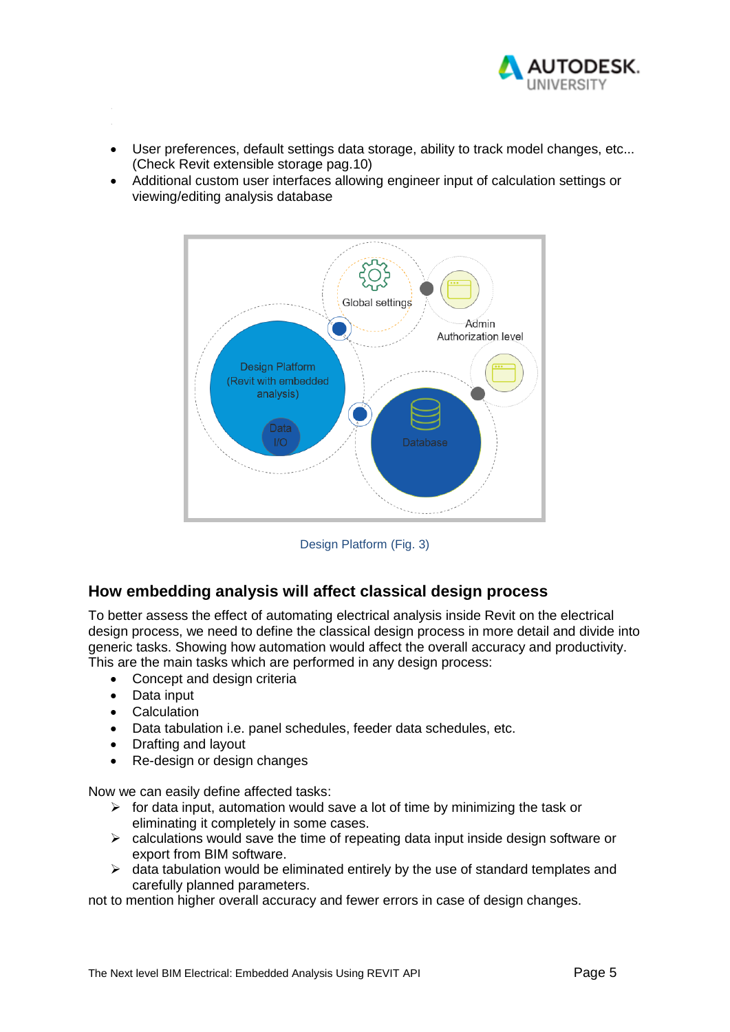

- User preferences, default settings data storage, ability to track model changes, etc... (Check Revit extensible storage pag.10)
- Additional custom user interfaces allowing engineer input of calculation settings or viewing/editing analysis database



Design Platform (Fig. 3)

## <span id="page-4-0"></span>**How embedding analysis will affect classical design process**

To better assess the effect of automating electrical analysis inside Revit on the electrical design process, we need to define the classical design process in more detail and divide into generic tasks. Showing how automation would affect the overall accuracy and productivity. This are the main tasks which are performed in any design process:

- Concept and design criteria
- Data input
- Calculation
- Data tabulation i.e. panel schedules, feeder data schedules, etc.
- Drafting and layout
- Re-design or design changes

Now we can easily define affected tasks:

- $\triangleright$  for data input, automation would save a lot of time by minimizing the task or eliminating it completely in some cases.
- $\triangleright$  calculations would save the time of repeating data input inside design software or export from BIM software.
- $\triangleright$  data tabulation would be eliminated entirely by the use of standard templates and carefully planned parameters.

not to mention higher overall accuracy and fewer errors in case of design changes.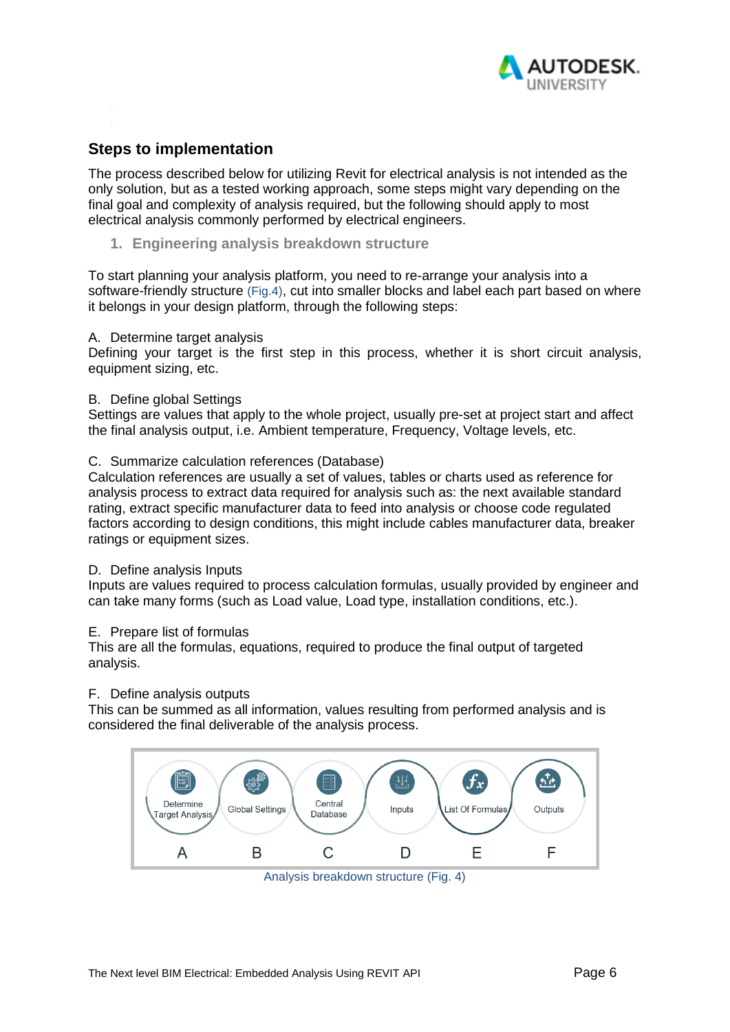

## <span id="page-5-0"></span>**Steps to implementation**

The process described below for utilizing Revit for electrical analysis is not intended as the only solution, but as a tested working approach, some steps might vary depending on the final goal and complexity of analysis required, but the following should apply to most electrical analysis commonly performed by electrical engineers.

<span id="page-5-1"></span>**1. Engineering analysis breakdown structure**

To start planning your analysis platform, you need to re-arrange your analysis into a software-friendly structure (Fig.4), cut into smaller blocks and label each part based on where it belongs in your design platform, through the following steps:

#### A. Determine target analysis

Defining your target is the first step in this process, whether it is short circuit analysis, equipment sizing, etc.

### B. Define global Settings

Settings are values that apply to the whole project, usually pre-set at project start and affect the final analysis output, i.e. Ambient temperature, Frequency, Voltage levels, etc.

### C. Summarize calculation references (Database)

Calculation references are usually a set of values, tables or charts used as reference for analysis process to extract data required for analysis such as: the next available standard rating, extract specific manufacturer data to feed into analysis or choose code regulated factors according to design conditions, this might include cables manufacturer data, breaker ratings or equipment sizes.

#### D. Define analysis Inputs

Inputs are values required to process calculation formulas, usually provided by engineer and can take many forms (such as Load value, Load type, installation conditions, etc.).

#### E. Prepare list of formulas

This are all the formulas, equations, required to produce the final output of targeted analysis.

#### F. Define analysis outputs

This can be summed as all information, values resulting from performed analysis and is considered the final deliverable of the analysis process.



Analysis breakdown structure (Fig. 4)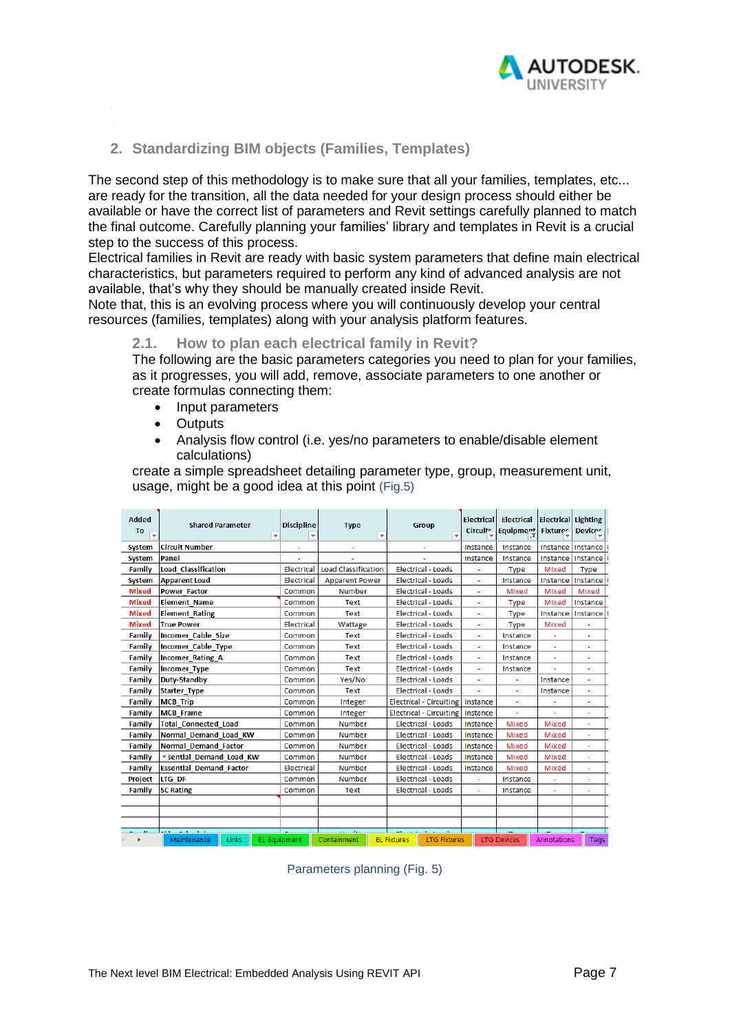

### <span id="page-6-0"></span>**2. Standardizing BIM objects (Families, Templates)**

The second step of this methodology is to make sure that all your families, templates, etc... are ready for the transition, all the data needed for your design process should either be available or have the correct list of parameters and Revit settings carefully planned to match the final outcome. Carefully planning your families' library and templates in Revit is a crucial step to the success of this process.

Electrical families in Revit are ready with basic system parameters that define main electrical characteristics, but parameters required to perform any kind of advanced analysis are not available, that's why they should be manually created inside Revit.

<span id="page-6-1"></span>Note that, this is an evolving process where you will continuously develop your central resources (families, templates) along with your analysis platform features.

#### **2.1. How to plan each electrical family in Revit?**

The following are the basic parameters categories you need to plan for your families, as it progresses, you will add, remove, associate parameters to one another or create formulas connecting them:

- Input parameters
- Outputs
- Analysis flow control (i.e. yes/no parameters to enable/disable element calculations)

create a simple spreadsheet detailing parameter type, group, measurement unit, usage, might be a good idea at this point (Fig.5)

| <b>Added</b><br>To<br>$\overline{\phantom{a}}$ | <b>Shared Parameter</b><br>$\overline{\mathbf{v}}$ | <b>Discipline</b><br>$\overline{\mathbf{v}}$ | <b>Type</b><br>÷           | <b>Group</b><br>$\overline{\phantom{a}}$  | <b>Electrical</b><br><b>Circuite</b> | Electrical<br><b>Equipment</b> | <b>Electrical Lighting</b><br><b>Fixtures</b> | <b>Devices</b>           |
|------------------------------------------------|----------------------------------------------------|----------------------------------------------|----------------------------|-------------------------------------------|--------------------------------------|--------------------------------|-----------------------------------------------|--------------------------|
| <b>System</b>                                  | <b>Circuit Number</b>                              | ٠                                            |                            |                                           | Instance                             | Instance                       | Instance                                      | <b>Instance</b>          |
| <b>System</b>                                  | Panel                                              |                                              |                            |                                           | Instance                             | Instance                       | Instance                                      | Instance                 |
| Family                                         | <b>Load Classification</b>                         | Electrical                                   | <b>Load Classification</b> | <b>Electrical - Loads</b>                 |                                      | <b>Type</b>                    | Mixed                                         | <b>Type</b>              |
| <b>System</b>                                  | <b>Apparent Load</b>                               | <b>Electrical</b>                            | <b>Apparent Power</b>      | <b>Electrical - Loads</b>                 |                                      | Instance                       | Instance                                      | Instance                 |
| <b>Mixed</b>                                   | <b>Power Factor</b>                                | Common                                       | <b>Number</b>              | <b>Electrical - Loads</b>                 |                                      | Mixed                          | Mixed                                         | Mixed                    |
| <b>Mixed</b>                                   | <b>Element Name</b>                                | Common                                       | <b>Text</b>                | <b>Electrical - Loads</b>                 | $\tilde{\phantom{a}}$                | <b>Type</b>                    | Mixed                                         | Instance                 |
| <b>Mixed</b>                                   | <b>Element Rating</b>                              | Common                                       | Text                       | <b>Electrical - Loads</b>                 |                                      | <b>Type</b>                    | Instance                                      | <b>Instance</b>          |
| <b>Mixed</b>                                   | <b>True Power</b>                                  | <b>Electrical</b>                            | Wattage                    | <b>Electrical - Loads</b>                 | $\sim$                               | <b>Type</b>                    | Mixed                                         |                          |
| <b>Family</b>                                  | <b>Incomer Cable Size</b>                          | Common                                       | <b>Text</b>                | <b>Electrical - Loads</b>                 |                                      | Instance                       |                                               |                          |
| Family                                         | <b>Incomer Cable Type</b>                          | Common                                       | Text                       | <b>Electrical - Loads</b>                 | $\sim$                               | Instance                       | ÷.                                            | $\overline{\phantom{a}}$ |
| Family                                         | <b>Incomer Rating A</b>                            | Common                                       | <b>Text</b>                | <b>Electrical - Loads</b>                 |                                      | Instance                       |                                               |                          |
| <b>Family</b>                                  | <b>Incomer Type</b>                                | Common                                       | Text                       | <b>Electrical - Loads</b>                 | $\sim$                               | Instance                       | ä,                                            | ÷,                       |
| <b>Family</b>                                  | Duty-Standby                                       | Common                                       | Yes/No                     | <b>Electrical - Loads</b>                 |                                      | ٠                              | Instance                                      |                          |
| <b>Family</b>                                  | <b>Starter Type</b>                                | Common                                       | <b>Text</b>                | <b>Electrical - Loads</b>                 | $\mathbf{r}$                         | $\sim$                         | Instance                                      | ä,                       |
| Family                                         | <b>MCB</b> Trip                                    | Common                                       | Integer                    | <b>Electrical - Circuiting</b>            | Instance                             | ÷.                             |                                               | ٠                        |
| <b>Family</b>                                  | <b>MCB</b> Frame                                   | Common                                       | Integer                    | <b>Electrical - Circuiting</b>            | Instance                             | $\sim$                         | ٠                                             | $\overline{a}$           |
| <b>Family</b>                                  | <b>Total Connected Load</b>                        | Common                                       | Number                     | <b>Electrical - Loads</b>                 | Instance                             | Mixed                          | Mixed                                         |                          |
| Family                                         | Normal Demand Load KW                              | Common                                       | <b>Number</b>              | <b>Electrical - Loads</b>                 | Instance                             | Mixed                          | Mixed                                         | ÷                        |
| <b>Family</b>                                  | <b>Normal Demand Factor</b>                        | Common                                       | Number                     | <b>Electrical - Loads</b>                 | Instance                             | Mixed                          | Mixed                                         | ä,                       |
| <b>Family</b>                                  | * sential Demand Load KW                           | Common                                       | <b>Number</b>              | <b>Electrical - Loads</b>                 | Instance                             | Mixed                          | Mixed                                         | ٠                        |
| Family                                         | <b>Essential Demand Factor</b>                     | Electrical                                   | <b>Number</b>              | <b>Electrical - Loads</b>                 | Instance                             | Mixed                          | Mixed                                         | ä,                       |
| Project                                        | LTG DF                                             | Common                                       | <b>Number</b>              | <b>Electrical - Loads</b>                 | ٠                                    | Instance                       | ٠                                             | ٠                        |
| Family                                         | <b>SC Rating</b>                                   | Common                                       | <b>Text</b>                | <b>Electrical - Loads</b>                 |                                      | Instance                       |                                               |                          |
|                                                |                                                    |                                              |                            |                                           |                                      |                                |                                               |                          |
|                                                |                                                    |                                              |                            |                                           |                                      |                                |                                               |                          |
|                                                |                                                    |                                              |                            |                                           |                                      |                                |                                               |                          |
| ×.                                             | a a<br>Links<br><b>EL Equipment</b><br>Maintenance |                                              | Containment                | <b>LTG Fixtures</b><br><b>EL Fixtures</b> |                                      | <b>LTG Devices</b>             | Annotations                                   | Tags                     |

Parameters planning (Fig. 5)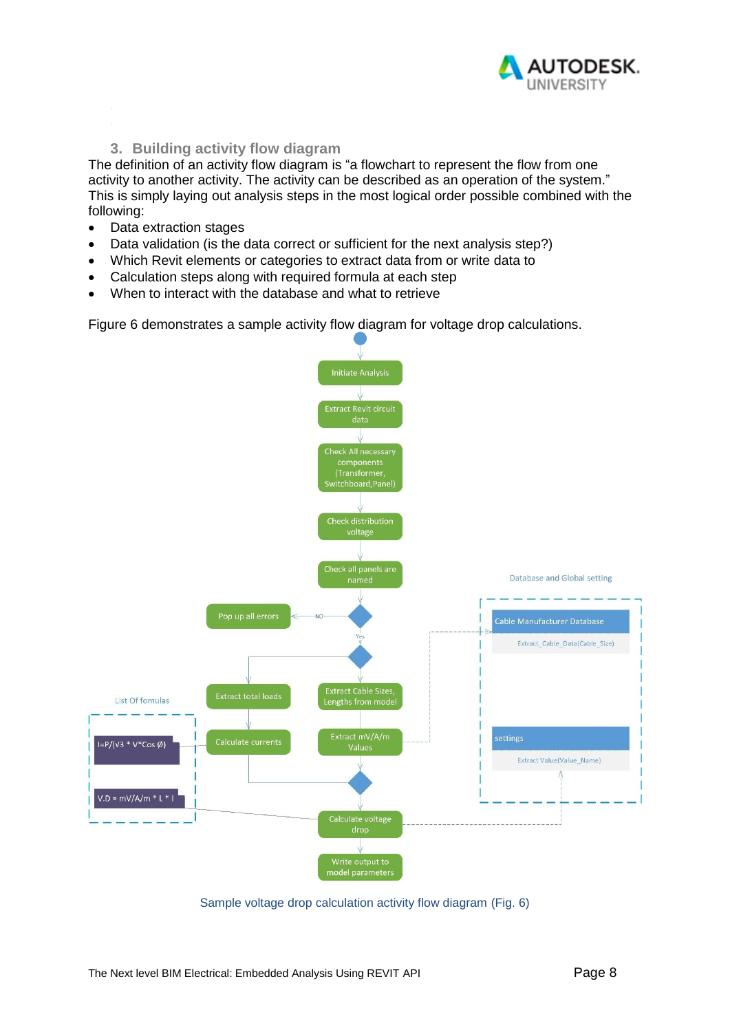

### **3. Building activity flow diagram**

<span id="page-7-0"></span>The definition of an activity flow diagram is "a flowchart to represent the flow from one activity to another activity. The activity can be described as an operation of the system." This is simply laying out analysis steps in the most logical order possible combined with the following:

- Data extraction stages
- Data validation (is the data correct or sufficient for the next analysis step?)
- Which Revit elements or categories to extract data from or write data to
- Calculation steps along with required formula at each step
- When to interact with the database and what to retrieve

Figure 6 demonstrates a sample activity flow diagram for voltage drop calculations.



Sample voltage drop calculation activity flow diagram (Fig. 6)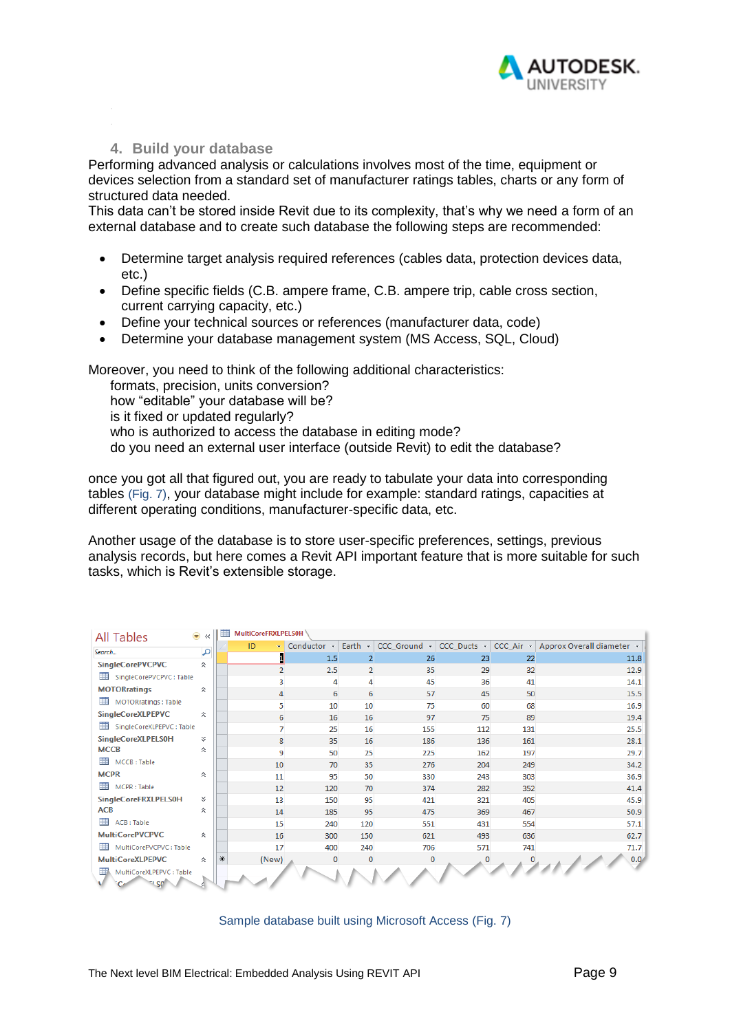

#### **4. Build your database**

<span id="page-8-0"></span>Performing advanced analysis or calculations involves most of the time, equipment or devices selection from a standard set of manufacturer ratings tables, charts or any form of structured data needed.

This data can't be stored inside Revit due to its complexity, that's why we need a form of an external database and to create such database the following steps are recommended:

- Determine target analysis required references (cables data, protection devices data, etc.)
- Define specific fields (C.B. ampere frame, C.B. ampere trip, cable cross section, current carrying capacity, etc.)
- Define your technical sources or references (manufacturer data, code)
- Determine your database management system (MS Access, SQL, Cloud)

Moreover, you need to think of the following additional characteristics:

formats, precision, units conversion? how "editable" your database will be? is it fixed or updated regularly? who is authorized to access the database in editing mode? do you need an external user interface (outside Revit) to edit the database?

once you got all that figured out, you are ready to tabulate your data into corresponding tables (Fig. 7), your database might include for example: standard ratings, capacities at different operating conditions, manufacturer-specific data, etc.

Another usage of the database is to store user-specific preferences, settings, previous analysis records, but here comes a Revit API important feature that is more suitable for such tasks, which is Revit's extensible storage.

| All Tables                     | $\bullet$ $\lt$ | 用      | MultiCoreFRXLPELS0H |              |                    |          |     |     |                                                                                        |
|--------------------------------|-----------------|--------|---------------------|--------------|--------------------|----------|-----|-----|----------------------------------------------------------------------------------------|
| Search                         | م               |        | ID<br>÷             | Conductor -  | Earth $\mathbf{v}$ |          |     |     | CCC_Ground $\cdot$ CCC_Ducts $\cdot$ CCC_Air $\cdot$ Approx Overall diameter $\cdot$ 4 |
|                                |                 |        |                     | 1.5          | $\overline{2}$     | 26       | 23  | 22  | 11.8                                                                                   |
| <b>SingleCorePVCPVC</b>        | 슷               |        |                     | 2.5          | $\overline{2}$     | 35       | 29  | 32  | 12.9                                                                                   |
| SingleCorePVCPVC: Table        |                 |        | 3                   | 4            | 4                  | 45       | 36  | 41  | 14.1                                                                                   |
| <b>MOTORratings</b>            | 슷               |        | 4                   | 6            | 6                  | 57       | 45  | 50  | 15.5                                                                                   |
| MOTORratings : Table           |                 |        | 5                   | 10           | 10                 | 75       | 60  | 68  | 16.9                                                                                   |
| <b>SingleCoreXLPEPVC</b>       | 슷               |        | 6                   | 16           | 16                 | 97       | 75  | 89  | 19.4                                                                                   |
| SingleCoreXLPEPVC: Table       |                 |        | $\overline{7}$      | 25           | 16                 | 155      | 112 | 131 | 25.5                                                                                   |
| <b>SingleCoreXLPELS0H</b>      | ×.              |        | 8                   | 35           | 16                 | 186      | 136 | 161 | 28.1                                                                                   |
| <b>MCCB</b>                    | 슷               |        | 9                   | 50           | 25                 | 225      | 162 | 197 | 29.7                                                                                   |
| MCCB: Table                    |                 |        | 10                  | 70           | 35                 | 276      | 204 | 249 | 34.2                                                                                   |
| <b>MCPR</b>                    | 슷               |        | 11                  | 95           | 50                 | 330      | 243 | 303 | 36.9                                                                                   |
| MCPR: Table                    |                 |        | 12                  | 120          | 70                 | 374      | 282 | 352 | 41.4                                                                                   |
| <b>SingleCoreFRXLPELS0H</b>    | x               |        | 13                  | 150          | 95                 | 421      | 321 | 405 | 45.9                                                                                   |
| <b>ACB</b>                     | 슷               |        | 14                  | 185          | 95                 | 475      | 369 | 467 | 50.9                                                                                   |
| 蘁<br>ACB: Table                |                 |        | 15                  | 240          | 120                | 551      | 431 | 554 | 57.1                                                                                   |
| <b>MultiCorePVCPVC</b>         | 슷               |        | 16                  | 300          | 150                | 621      | 493 | 636 | 62.7                                                                                   |
| MultiCorePVCPVC: Table         |                 |        | 17                  | 400          | 240                | 706      | 571 | 741 | 71.7                                                                                   |
| <b>MultiCoreXLPEPVC</b>        | 슷               | $\ast$ | (New)               | $\mathbf{0}$ | $\mathbf{0}$       | $\Omega$ |     |     | 0.0 <sub>1</sub>                                                                       |
| MultiCoreXLPEPVC: Table<br>USC |                 |        |                     |              |                    |          |     |     |                                                                                        |

Sample database built using Microsoft Access (Fig. 7)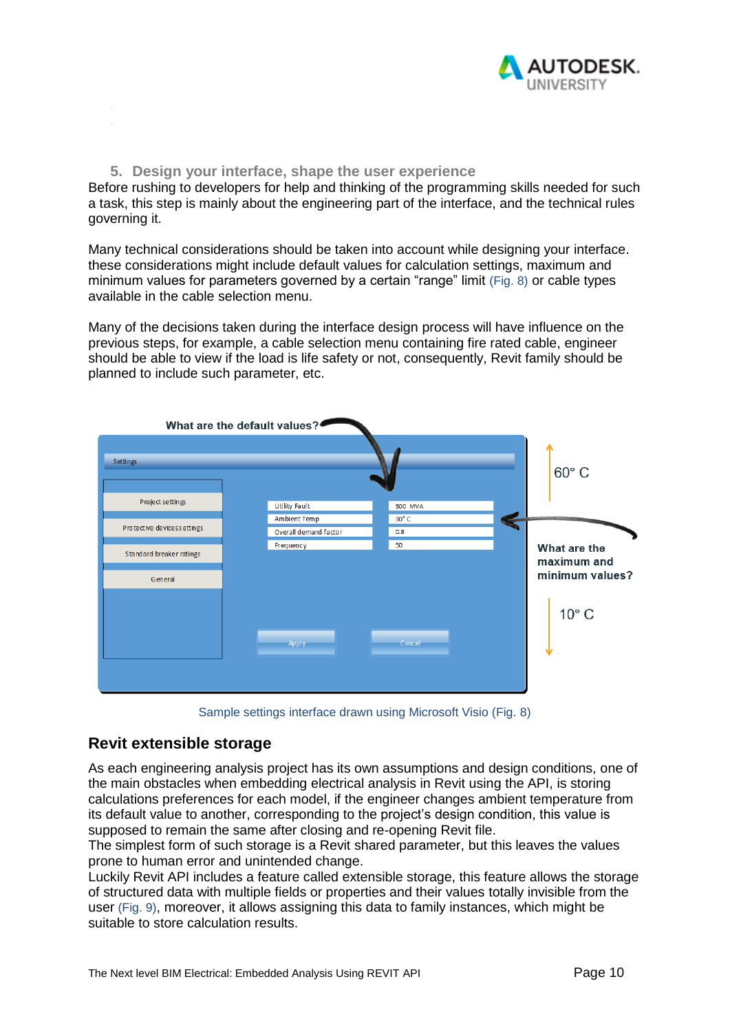

#### **5. Design your interface, shape the user experience**

<span id="page-9-0"></span>Before rushing to developers for help and thinking of the programming skills needed for such a task, this step is mainly about the engineering part of the interface, and the technical rules governing it.

Many technical considerations should be taken into account while designing your interface. these considerations might include default values for calculation settings, maximum and minimum values for parameters governed by a certain "range" limit (Fig. 8) or cable types available in the cable selection menu.

Many of the decisions taken during the interface design process will have influence on the previous steps, for example, a cable selection menu containing fire rated cable, engineer should be able to view if the load is life safety or not, consequently, Revit family should be planned to include such parameter, etc.



Sample settings interface drawn using Microsoft Visio (Fig. 8)

### <span id="page-9-1"></span>**Revit extensible storage**

As each engineering analysis project has its own assumptions and design conditions, one of the main obstacles when embedding electrical analysis in Revit using the API, is storing calculations preferences for each model, if the engineer changes ambient temperature from its default value to another, corresponding to the project's design condition, this value is supposed to remain the same after closing and re-opening Revit file.

The simplest form of such storage is a Revit shared parameter, but this leaves the values prone to human error and unintended change.

Luckily Revit API includes a feature called extensible storage, this feature allows the storage of structured data with multiple fields or properties and their values totally invisible from the user (Fig. 9), moreover, it allows assigning this data to family instances, which might be suitable to store calculation results.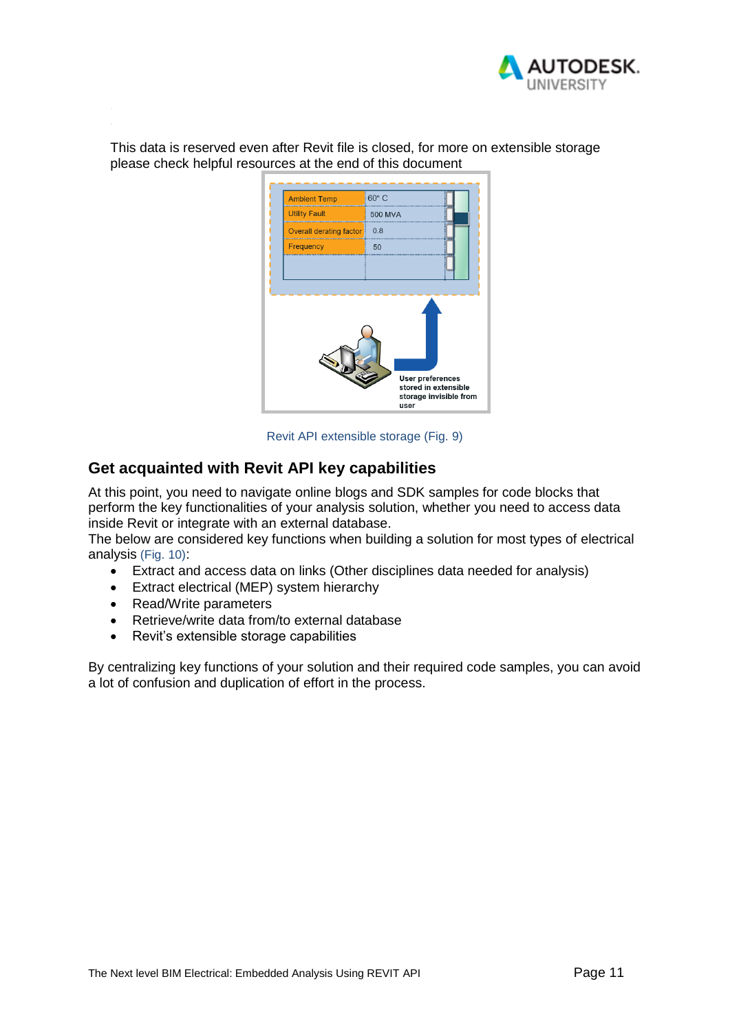

This data is reserved even after Revit file is closed, for more on extensible storage please check helpful resources at the end of this document



Revit API extensible storage (Fig. 9)

## <span id="page-10-0"></span>**Get acquainted with Revit API key capabilities**

At this point, you need to navigate online blogs and SDK samples for code blocks that perform the key functionalities of your analysis solution, whether you need to access data inside Revit or integrate with an external database.

The below are considered key functions when building a solution for most types of electrical analysis (Fig. 10):

- Extract and access data on links (Other disciplines data needed for analysis)
- Extract electrical (MEP) system hierarchy
- Read/Write parameters
- Retrieve/write data from/to external database
- Revit's extensible storage capabilities

By centralizing key functions of your solution and their required code samples, you can avoid a lot of confusion and duplication of effort in the process.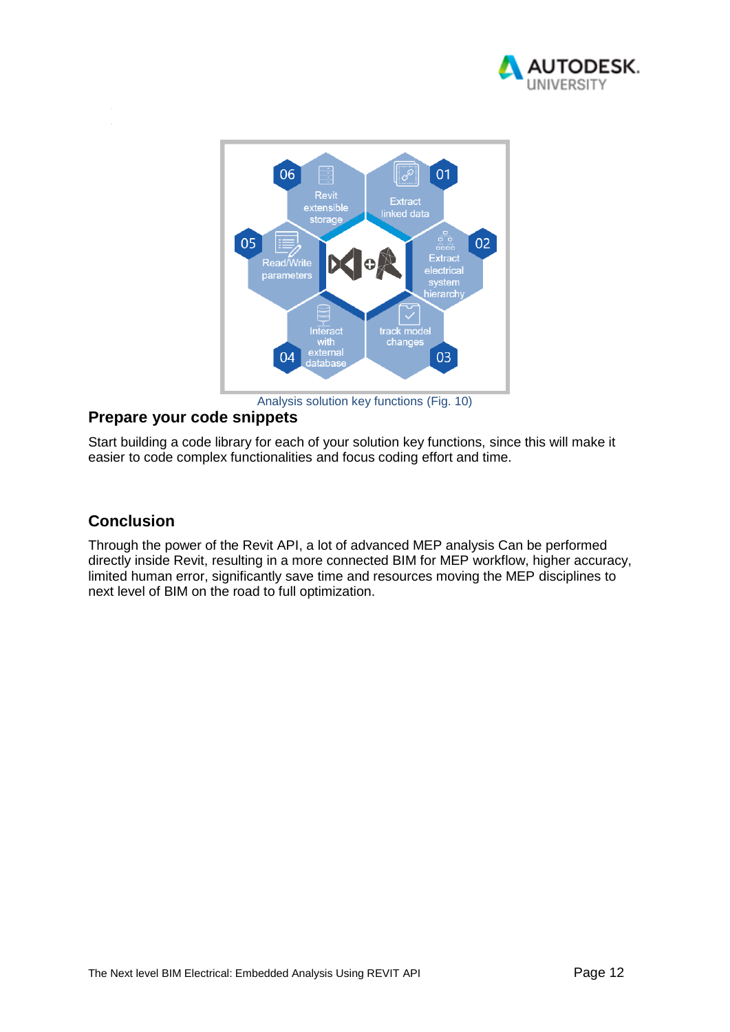



## <span id="page-11-0"></span>**Prepare your code snippets**

Start building a code library for each of your solution key functions, since this will make it easier to code complex functionalities and focus coding effort and time.

# <span id="page-11-1"></span>**Conclusion**

Through the power of the Revit API, a lot of advanced MEP analysis Can be performed directly inside Revit, resulting in a more connected BIM for MEP workflow, higher accuracy, limited human error, significantly save time and resources moving the MEP disciplines to next level of BIM on the road to full optimization.